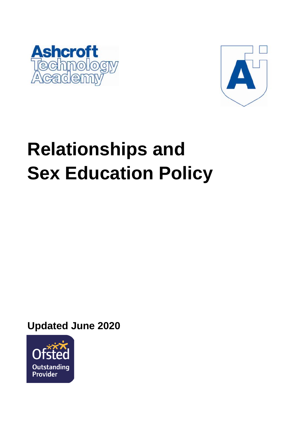



# **Relationships and Sex Education Policy**

**Updated June 2020**

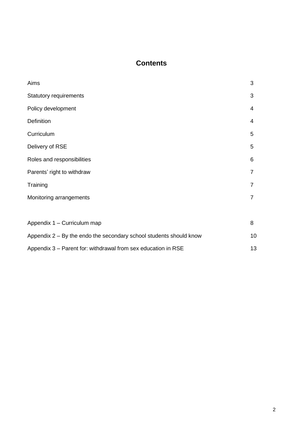# **Contents**

| Aims                                                               | 3              |
|--------------------------------------------------------------------|----------------|
| <b>Statutory requirements</b>                                      | 3              |
| Policy development                                                 | 4              |
| <b>Definition</b>                                                  | 4              |
| Curriculum                                                         | 5              |
| Delivery of RSE                                                    | 5              |
| Roles and responsibilities                                         | 6              |
| Parents' right to withdraw                                         | 7              |
| Training                                                           | $\overline{7}$ |
| Monitoring arrangements                                            | $\overline{7}$ |
|                                                                    |                |
| Appendix 1 - Curriculum map                                        | 8              |
| Appendix 2 – By the endo the secondary school students should know | 10             |
| Appendix 3 – Parent for: withdrawal from sex education in RSE      | 13             |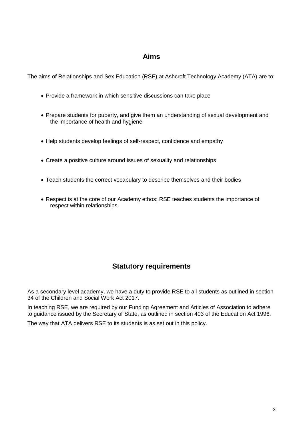## **Aims**

The aims of Relationships and Sex Education (RSE) at Ashcroft Technology Academy (ATA) are to:

- Provide a framework in which sensitive discussions can take place
- Prepare students for puberty, and give them an understanding of sexual development and the importance of health and hygiene
- Help students develop feelings of self-respect, confidence and empathy
- Create a positive culture around issues of sexuality and relationships
- Teach students the correct vocabulary to describe themselves and their bodies
- Respect is at the core of our Academy ethos; RSE teaches students the importance of respect within relationships.

# **Statutory requirements**

As a secondary level academy, we have a duty to provide RSE to all students as outlined in section 34 of the [Children and Social Work Act 2017.](http://www.legislation.gov.uk/ukpga/2017/16/section/34/enacted)

In teaching RSE, we are required by our Funding Agreement and [Articles of Association](https://www.atacademy.org.uk/_site/data/files/files/instrument%20of%20government/D31046D65D4FC7A70E96D7B89096C2A3.pdf) to adhere to [guidance](https://www.gov.uk/government/consultations/relationships-and-sex-education-and-health-education) issued by the Secretary of State, as outlined in section 403 of the [Education Act 1996.](http://www.legislation.gov.uk/ukpga/1996/56/contents)

The way that ATA delivers RSE to its students is as set out in this policy.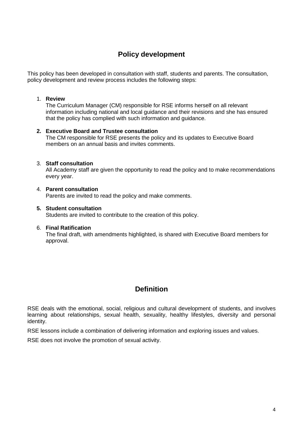# **Policy development**

This policy has been developed in consultation with staff, students and parents. The consultation, policy development and review process includes the following steps:

### 1. **Review**

The Curriculum Manager (CM) responsible for RSE informs herself on all relevant information including national and local guidance and their revisions and she has ensured that the policy has complied with such information and guidance.

### **2. Executive Board and Trustee consultation**

The CM responsible for RSE presents the policy and its updates to Executive Board members on an annual basis and invites comments.

### 3. **Staff consultation**

All Academy staff are given the opportunity to read the policy and to make recommendations every year.

### 4. **Parent consultation**

Parents are invited to read the policy and make comments.

## **5. Student consultation**

Students are invited to contribute to the creation of this policy.

### 6. **Final Ratification**

The final draft, with amendments highlighted, is shared with Executive Board members for approval.

# **Definition**

RSE deals with the emotional, social, religious and cultural development of students, and involves learning about relationships, sexual health, sexuality, healthy lifestyles, diversity and personal identity.

RSE lessons include a combination of delivering information and exploring issues and values.

RSE does not involve the promotion of sexual activity.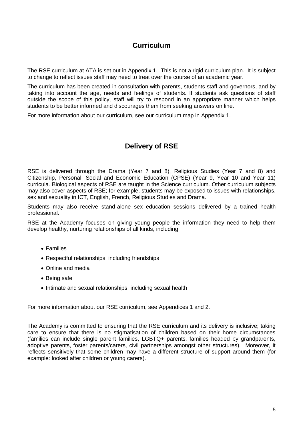# **Curriculum**

The RSE curriculum at ATA is set out in Appendix 1. This is not a rigid curriculum plan. It is subject to change to reflect issues staff may need to treat over the course of an academic year.

The curriculum has been created in consultation with parents, students staff and governors, and by taking into account the age, needs and feelings of students. If students ask questions of staff outside the scope of this policy, staff will try to respond in an appropriate manner which helps students to be better informed and discourages them from seeking answers on line.

For more information about our curriculum, see our curriculum map in Appendix 1.

# **Delivery of RSE**

RSE is delivered through the Drama (Year 7 and 8), Religious Studies (Year 7 and 8) and Citizenship, Personal, Social and Economic Education (CPSE) (Year 9, Year 10 and Year 11) curricula. Biological aspects of RSE are taught in the Science curriculum. Other curriculum subjects may also cover aspects of RSE; for example, students may be exposed to issues with relationships, sex and sexuality in ICT, English, French, Religious Studies and Drama.

Students may also receive stand-alone sex education sessions delivered by a trained health professional.

RSE at the Academy focuses on giving young people the information they need to help them develop healthy, nurturing relationships of all kinds, including:

- Families
- Respectful relationships, including friendships
- Online and media
- Being safe
- Intimate and sexual relationships, including sexual health

For more information about our RSE curriculum, see Appendices 1 and 2.

The Academy is committed to ensuring that the RSE curriculum and its delivery is inclusive; taking care to ensure that there is no stigmatisation of children based on their home circumstances (families can include single parent families, LGBTQ+ parents, families headed by grandparents, adoptive parents, foster parents/carers, civil partnerships amongst other structures). Moreover, it reflects sensitively that some children may have a different structure of support around them (for example: looked after children or young carers).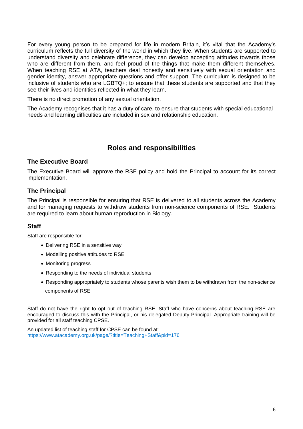For every young person to be prepared for life in modern Britain, it's vital that the Academy's curriculum reflects the full diversity of the world in which they live. When students are supported to understand diversity and celebrate difference, they can develop accepting attitudes towards those who are different from them, and feel proud of the things that make them different themselves. When teaching RSE at ATA, teachers deal honestly and sensitively with sexual orientation and gender identity, answer appropriate questions and offer support. The curriculum is designed to be inclusive of students who are LGBTQ+; to ensure that these students are supported and that they see their lives and identities reflected in what they learn.

There is no direct promotion of any sexual orientation.

The Academy recognises that it has a duty of care, to ensure that students with special educational needs and learning difficulties are included in sex and relationship education.

# **Roles and responsibilities**

## **The Executive Board**

The Executive Board will approve the RSE policy and hold the Principal to account for its correct implementation.

## **The Principal**

The Principal is responsible for ensuring that RSE is delivered to all students across the Academy and for managing requests to withdraw students from non-science components of RSE. Students are required to learn about human reproduction in Biology.

## **Staff**

Staff are responsible for:

- Delivering RSE in a sensitive way
- Modelling positive attitudes to RSE
- Monitoring progress
- Responding to the needs of individual students
- Responding appropriately to students whose parents wish them to be withdrawn from the non-science components of RSE

Staff do not have the right to opt out of teaching RSE. Staff who have concerns about teaching RSE are encouraged to discuss this with the Principal, or his delegated Deputy Principal. Appropriate training will be provided for all staff teaching CPSE.

An updated list of teaching staff for CPSE can be found at: <https://www.atacademy.org.uk/page/?title=Teaching+Staff&pid=176>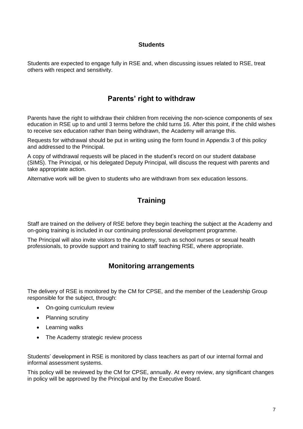## **Students**

Students are expected to engage fully in RSE and, when discussing issues related to RSE, treat others with respect and sensitivity.

## **Parents' right to withdraw**

Parents have the right to withdraw their children from receiving the non-science components of sex education in RSE up to and until 3 terms before the child turns 16. After this point, if the child wishes to receive sex education rather than being withdrawn, the Academy will arrange this.

Requests for withdrawal should be put in writing using the form found in Appendix 3 of this policy and addressed to the Principal.

A copy of withdrawal requests will be placed in the student's record on our student database (SIMS). The Principal, or his delegated Deputy Principal, will discuss the request with parents and take appropriate action.

Alternative work will be given to students who are withdrawn from sex education lessons.

# **Training**

Staff are trained on the delivery of RSE before they begin teaching the subject at the Academy and on-going training is included in our continuing professional development programme.

The Principal will also invite visitors to the Academy, such as school nurses or sexual health professionals, to provide support and training to staff teaching RSE, where appropriate.

# **Monitoring arrangements**

The delivery of RSE is monitored by the CM for CPSE, and the member of the Leadership Group responsible for the subject, through:

- On-going curriculum review
- Planning scrutiny
- Learning walks
- The Academy strategic review process

Students' development in RSE is monitored by class teachers as part of our internal formal and informal assessment systems.

This policy will be reviewed by the CM for CPSE, annually. At every review, any significant changes in policy will be approved by the Principal and by the Executive Board.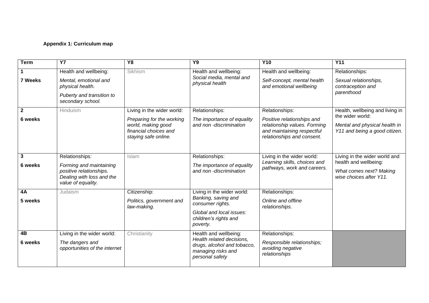## **Appendix 1: Curriculum map**

| <b>Term</b>    | <b>Y7</b>                                                                  | Y8                                                                  | <b>Y9</b>                                                                                         | <b>Y10</b>                                                                               | <b>Y11</b>                                                     |
|----------------|----------------------------------------------------------------------------|---------------------------------------------------------------------|---------------------------------------------------------------------------------------------------|------------------------------------------------------------------------------------------|----------------------------------------------------------------|
|                | Health and wellbeing:                                                      | Sikhism                                                             | Health and wellbeing:                                                                             | Health and wellbeing:                                                                    | Relationships:                                                 |
| 7 Weeks        | Mental, emotional and<br>physical health.                                  |                                                                     | Social media, mental and<br>physical health                                                       | Self-concept, mental health<br>and emotional wellbeing                                   | Sexual relationships,<br>contraception and                     |
|                | Puberty and transition to<br>secondary school.                             |                                                                     |                                                                                                   |                                                                                          | parenthood                                                     |
| $\overline{2}$ | Hinduism                                                                   | Living in the wider world:                                          | Relationships:                                                                                    | Relationships:                                                                           | Health, wellbeing and living in                                |
| 6 weeks        |                                                                            | Preparing for the working                                           | The importance of equality                                                                        | Positive relationships and                                                               | the wider world:                                               |
|                |                                                                            | world, making good<br>financial choices and<br>staying safe online. | and non -discrimination                                                                           | relationship values. Forming<br>and maintaining respectful<br>relationships and consent. | Mental and physical health in<br>Y11 and being a good citizen. |
|                |                                                                            |                                                                     |                                                                                                   |                                                                                          |                                                                |
| $\mathbf{3}$   | Relationships:                                                             | Islam                                                               | Relationships:                                                                                    | Living in the wider world:                                                               | Living in the wider world and                                  |
| 6 weeks        | Forming and maintaining                                                    |                                                                     | The importance of equality                                                                        | Learning skills, choices and<br>pathways, work and careers.                              | health and wellbeing:                                          |
|                | positive relationships.<br>Dealing with loss and the<br>value of equality. |                                                                     | and non -discrimination                                                                           |                                                                                          | What comes next? Making<br>wise choices after Y11.             |
| 4A             | Judaism                                                                    | Citizenship:                                                        | Living in the wider world:                                                                        | Relationships:                                                                           |                                                                |
| 5 weeks        |                                                                            | Politics, government and<br>law-making.                             | Banking, saving and<br>consumer rights.                                                           | Online and offline<br>relationships.                                                     |                                                                |
|                |                                                                            |                                                                     | Global and local issues:<br>children's rights and<br>poverty.                                     |                                                                                          |                                                                |
| 4B             | Living in the wider world:                                                 | Christianity                                                        | Health and wellbeing:                                                                             | Relationships:                                                                           |                                                                |
| 6 weeks        | The dangers and<br>opportunities of the internet                           |                                                                     | Health related decisions,<br>drugs, alcohol and tobacco,<br>managing risks and<br>personal safety | Responsible relationships;<br>avoiding negative<br>relationships                         |                                                                |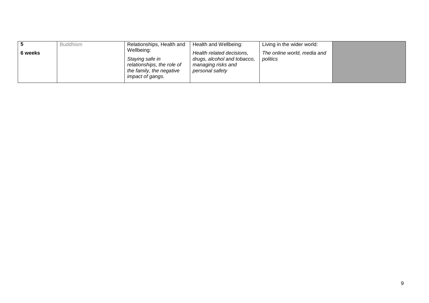| 6 weeks | <b>Buddhism</b> | Relationships, Health and<br>Wellbeing:<br>Staying safe in<br>relationships, the role of<br>the family, the negative | Health and Wellbeing:<br>Health related decisions,<br>drugs, alcohol and tobacco,<br>managing risks and<br>personal safety | Living in the wider world:<br>The online world, media and<br>politics |  |
|---------|-----------------|----------------------------------------------------------------------------------------------------------------------|----------------------------------------------------------------------------------------------------------------------------|-----------------------------------------------------------------------|--|
|         |                 | impact of gangs.                                                                                                     |                                                                                                                            |                                                                       |  |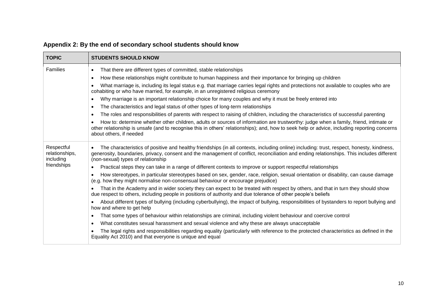| <b>TOPIC</b>                              | <b>STUDENTS SHOULD KNOW</b>                                                                                                                                                                                                                                                                                                               |  |  |  |
|-------------------------------------------|-------------------------------------------------------------------------------------------------------------------------------------------------------------------------------------------------------------------------------------------------------------------------------------------------------------------------------------------|--|--|--|
| Families                                  | That there are different types of committed, stable relationships<br>$\bullet$                                                                                                                                                                                                                                                            |  |  |  |
|                                           | How these relationships might contribute to human happiness and their importance for bringing up children<br>$\bullet$                                                                                                                                                                                                                    |  |  |  |
|                                           | What marriage is, including its legal status e.g. that marriage carries legal rights and protections not available to couples who are<br>$\bullet$<br>cohabiting or who have married, for example, in an unregistered religious ceremony                                                                                                  |  |  |  |
|                                           | Why marriage is an important relationship choice for many couples and why it must be freely entered into<br>$\bullet$                                                                                                                                                                                                                     |  |  |  |
|                                           | The characteristics and legal status of other types of long-term relationships<br>$\bullet$                                                                                                                                                                                                                                               |  |  |  |
|                                           | The roles and responsibilities of parents with respect to raising of children, including the characteristics of successful parenting<br>$\bullet$                                                                                                                                                                                         |  |  |  |
|                                           | How to: determine whether other children, adults or sources of information are trustworthy: judge when a family, friend, intimate or<br>other relationship is unsafe (and to recognise this in others' relationships); and, how to seek help or advice, including reporting concerns<br>about others, if needed                           |  |  |  |
| Respectful<br>relationships,<br>including | The characteristics of positive and healthy friendships (in all contexts, including online) including: trust, respect, honesty, kindness,<br>$\bullet$<br>generosity, boundaries, privacy, consent and the management of conflict, reconciliation and ending relationships. This includes different<br>(non-sexual) types of relationship |  |  |  |
| friendships                               | Practical steps they can take in a range of different contexts to improve or support respectful relationships<br>$\bullet$                                                                                                                                                                                                                |  |  |  |
|                                           | How stereotypes, in particular stereotypes based on sex, gender, race, religion, sexual orientation or disability, can cause damage<br>$\bullet$<br>(e.g. how they might normalise non-consensual behaviour or encourage prejudice)                                                                                                       |  |  |  |
|                                           | That in the Academy and in wider society they can expect to be treated with respect by others, and that in turn they should show<br>$\bullet$<br>due respect to others, including people in positions of authority and due tolerance of other people's beliefs                                                                            |  |  |  |
|                                           | About different types of bullying (including cyberbullying), the impact of bullying, responsibilities of bystanders to report bullying and<br>how and where to get help                                                                                                                                                                   |  |  |  |
|                                           | That some types of behaviour within relationships are criminal, including violent behaviour and coercive control<br>$\bullet$                                                                                                                                                                                                             |  |  |  |
|                                           | What constitutes sexual harassment and sexual violence and why these are always unacceptable<br>$\bullet$                                                                                                                                                                                                                                 |  |  |  |
|                                           | The legal rights and responsibilities regarding equality (particularly with reference to the protected characteristics as defined in the<br>Equality Act 2010) and that everyone is unique and equal                                                                                                                                      |  |  |  |

# **Appendix 2: By the end of secondary school students should know**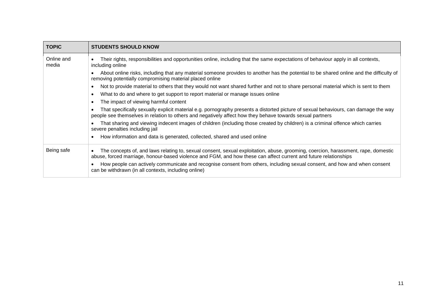| <b>TOPIC</b>        | <b>STUDENTS SHOULD KNOW</b>                                                                                                                                                                                                                                        |
|---------------------|--------------------------------------------------------------------------------------------------------------------------------------------------------------------------------------------------------------------------------------------------------------------|
| Online and<br>media | Their rights, responsibilities and opportunities online, including that the same expectations of behaviour apply in all contexts,<br>including online                                                                                                              |
|                     | About online risks, including that any material someone provides to another has the potential to be shared online and the difficulty of<br>$\bullet$<br>removing potentially compromising material placed online                                                   |
|                     | Not to provide material to others that they would not want shared further and not to share personal material which is sent to them<br>$\bullet$                                                                                                                    |
|                     | What to do and where to get support to report material or manage issues online<br>$\bullet$                                                                                                                                                                        |
|                     | The impact of viewing harmful content<br>$\bullet$                                                                                                                                                                                                                 |
|                     | That specifically sexually explicit material e.g. pornography presents a distorted picture of sexual behaviours, can damage the way<br>people see themselves in relation to others and negatively affect how they behave towards sexual partners                   |
|                     | That sharing and viewing indecent images of children (including those created by children) is a criminal offence which carries<br>severe penalties including jail                                                                                                  |
|                     | How information and data is generated, collected, shared and used online<br>$\bullet$                                                                                                                                                                              |
| Being safe          | The concepts of, and laws relating to, sexual consent, sexual exploitation, abuse, grooming, coercion, harassment, rape, domestic<br>$\bullet$<br>abuse, forced marriage, honour-based violence and FGM, and how these can affect current and future relationships |
|                     | How people can actively communicate and recognise consent from others, including sexual consent, and how and when consent<br>can be withdrawn (in all contexts, including online)                                                                                  |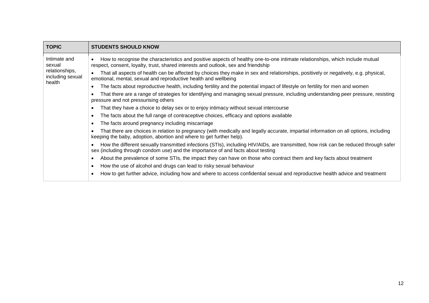| <b>TOPIC</b>                                                           | <b>STUDENTS SHOULD KNOW</b>                                                                                                                                                                                                     |  |  |  |
|------------------------------------------------------------------------|---------------------------------------------------------------------------------------------------------------------------------------------------------------------------------------------------------------------------------|--|--|--|
| Intimate and<br>sexual<br>relationships,<br>including sexual<br>health | How to recognise the characteristics and positive aspects of healthy one-to-one intimate relationships, which include mutual<br>$\bullet$<br>respect, consent, loyalty, trust, shared interests and outlook, sex and friendship |  |  |  |
|                                                                        | That all aspects of health can be affected by choices they make in sex and relationships, positively or negatively, e.g. physical,<br>emotional, mental, sexual and reproductive health and wellbeing                           |  |  |  |
|                                                                        | The facts about reproductive health, including fertility and the potential impact of lifestyle on fertility for men and women<br>$\bullet$                                                                                      |  |  |  |
|                                                                        | That there are a range of strategies for identifying and managing sexual pressure, including understanding peer pressure, resisting<br>pressure and not pressurising others                                                     |  |  |  |
|                                                                        | That they have a choice to delay sex or to enjoy intimacy without sexual intercourse<br>$\bullet$                                                                                                                               |  |  |  |
|                                                                        | The facts about the full range of contraceptive choices, efficacy and options available<br>$\bullet$                                                                                                                            |  |  |  |
|                                                                        | The facts around pregnancy including miscarriage<br>$\bullet$                                                                                                                                                                   |  |  |  |
|                                                                        | That there are choices in relation to pregnancy (with medically and legally accurate, impartial information on all options, including<br>keeping the baby, adoption, abortion and where to get further help).                   |  |  |  |
|                                                                        | How the different sexually transmitted infections (STIs), including HIV/AIDs, are transmitted, how risk can be reduced through safer<br>sex (including through condom use) and the importance of and facts about testing        |  |  |  |
|                                                                        | About the prevalence of some STIs, the impact they can have on those who contract them and key facts about treatment<br>$\bullet$                                                                                               |  |  |  |
|                                                                        | How the use of alcohol and drugs can lead to risky sexual behaviour<br>$\bullet$                                                                                                                                                |  |  |  |
|                                                                        | How to get further advice, including how and where to access confidential sexual and reproductive health advice and treatment<br>$\bullet$                                                                                      |  |  |  |